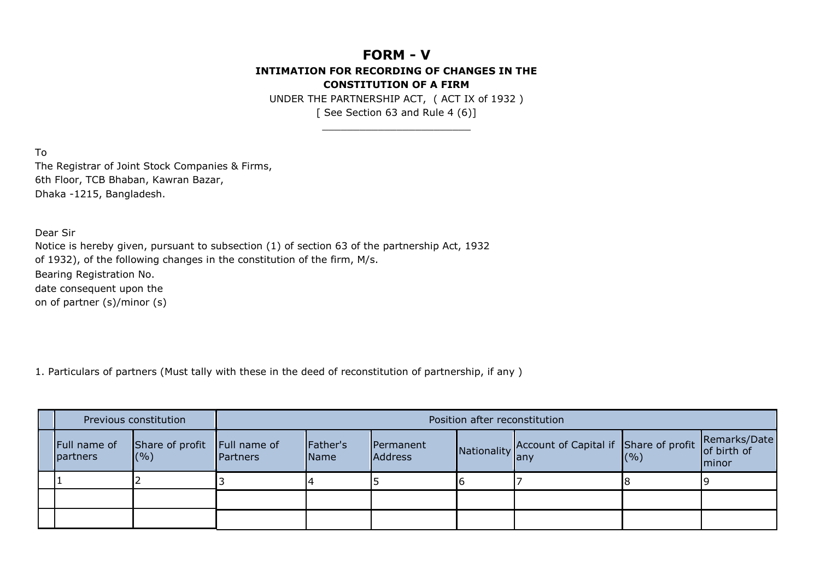## **FORM - V INTIMATION FOR RECORDING OF CHANGES IN THE CONSTITUTION OF A FIRM**

UNDER THE PARTNERSHIP ACT, ( ACT IX of 1932 ) [ See Section 63 and Rule 4 (6)]

\_\_\_\_\_\_\_\_\_\_\_\_\_\_\_\_\_\_\_\_\_\_\_\_

To The Registrar of Joint Stock Companies & Firms, 6th Floor, TCB Bhaban, Kawran Bazar, Dhaka -1215, Bangladesh.

Dear Sir

Notice is hereby given, pursuant to subsection (1) of section 63 of the partnership Act, 1932 of 1932), of the following changes in the constitution of the firm, M/s. Bearing Registration No. date consequent upon the on of partner (s)/minor (s)

1. Particulars of partners (Must tally with these in the deed of reconstitution of partnership, if any )

| Previous constitution    |                                     | Position after reconstitution |                           |                             |  |                                                                           |  |               |  |
|--------------------------|-------------------------------------|-------------------------------|---------------------------|-----------------------------|--|---------------------------------------------------------------------------|--|---------------|--|
| Full name of<br>partners | Share of profit Full name of<br>(%) | Partners                      | Father's<br><b>I</b> Name | Permanent<br><b>Address</b> |  | Nationality Account of Capital if Share of profit Remarks/Date<br>(%) (%) |  | <b>Iminor</b> |  |
|                          |                                     |                               |                           |                             |  |                                                                           |  |               |  |
|                          |                                     |                               |                           |                             |  |                                                                           |  |               |  |
|                          |                                     |                               |                           |                             |  |                                                                           |  |               |  |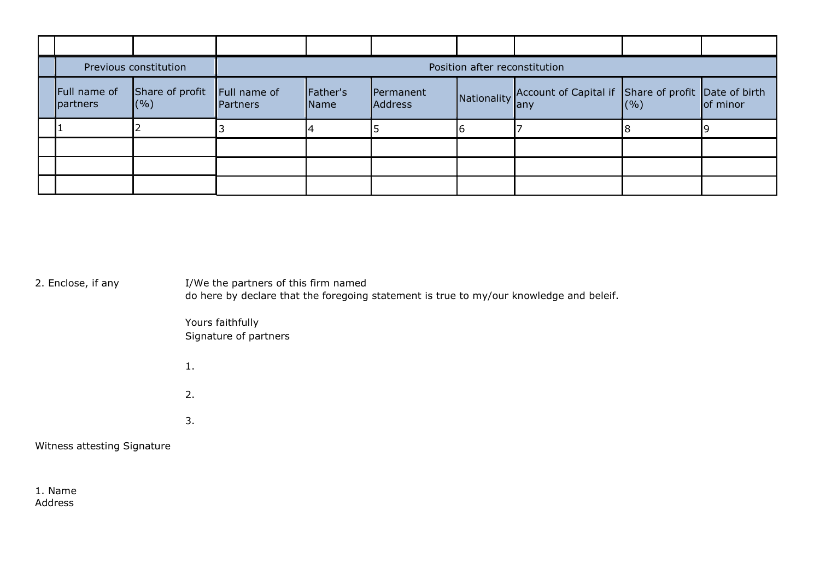| Previous constitution    |                           | Position after reconstitution |                  |                             |  |                                                                     |  |  |  |  |
|--------------------------|---------------------------|-------------------------------|------------------|-----------------------------|--|---------------------------------------------------------------------|--|--|--|--|
| Full name of<br>partners | Share of profit<br>$($ %) | Full name of<br>Partners      | Father's<br>Name | Permanent<br><b>Address</b> |  | Nationality Account of Capital if Share of profit Date of birth any |  |  |  |  |
|                          |                           |                               |                  |                             |  |                                                                     |  |  |  |  |
|                          |                           |                               |                  |                             |  |                                                                     |  |  |  |  |
|                          |                           |                               |                  |                             |  |                                                                     |  |  |  |  |
|                          |                           |                               |                  |                             |  |                                                                     |  |  |  |  |

2. Enclose, if any I/We the partners of this firm named

do here by declare that the foregoing statement is true to my/our knowledge and beleif.

Yours faithfully Signature of partners

1.

2. 3.

Witness attesting Signature

1. Name Address